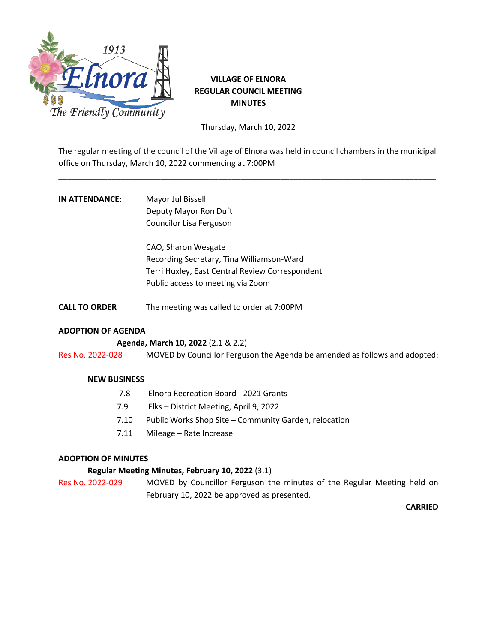

## **VILLAGE OF ELNORA REGULAR COUNCIL MEETING MINUTES**

Thursday, March 10, 2022

The regular meeting of the council of the Village of Elnora was held in council chambers in the municipal office on Thursday, March 10, 2022 commencing at 7:00PM

\_\_\_\_\_\_\_\_\_\_\_\_\_\_\_\_\_\_\_\_\_\_\_\_\_\_\_\_\_\_\_\_\_\_\_\_\_\_\_\_\_\_\_\_\_\_\_\_\_\_\_\_\_\_\_\_\_\_\_\_\_\_\_\_\_\_\_\_\_\_\_\_\_\_\_\_\_\_\_\_\_\_\_\_\_

# **IN ATTENDANCE:** Mayor Jul Bissell Deputy Mayor Ron Duft Councilor Lisa Ferguson

CAO, Sharon Wesgate Recording Secretary, Tina Williamson-Ward Terri Huxley, East Central Review Correspondent Public access to meeting via Zoom

**CALL TO ORDER** The meeting was called to order at 7:00PM

## **ADOPTION OF AGENDA**

### **Agenda, March 10, 2022** (2.1 & 2.2)

Res No. 2022-028 MOVED by Councillor Ferguson the Agenda be amended as follows and adopted:

### **NEW BUSINESS**

- 7.8 Elnora Recreation Board 2021 Grants
- 7.9 Elks District Meeting, April 9, 2022
- 7.10 Public Works Shop Site Community Garden, relocation
- 7.11 Mileage Rate Increase

### **ADOPTION OF MINUTES**

### **Regular Meeting Minutes, February 10, 2022** (3.1)

Res No. 2022-029 MOVED by Councillor Ferguson the minutes of the Regular Meeting held on February 10, 2022 be approved as presented.

**CARRIED**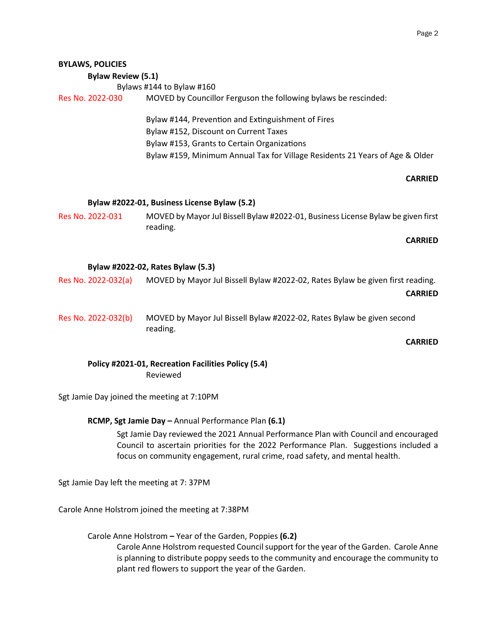| <b>BYLAWS, POLICIES</b><br><b>Bylaw Review (5.1)</b><br>Res No. 2022-030 | Bylaws #144 to Bylaw #160<br>MOVED by Councillor Ferguson the following bylaws be rescinded:<br>Bylaw #144, Prevention and Extinguishment of Fires<br>Bylaw #152, Discount on Current Taxes<br>Bylaw #153, Grants to Certain Organizations<br>Bylaw #159, Minimum Annual Tax for Village Residents 21 Years of Age & Older |
|--------------------------------------------------------------------------|----------------------------------------------------------------------------------------------------------------------------------------------------------------------------------------------------------------------------------------------------------------------------------------------------------------------------|
|                                                                          |                                                                                                                                                                                                                                                                                                                            |
|                                                                          | <b>CARRIED</b>                                                                                                                                                                                                                                                                                                             |
| Res No. 2022-031                                                         | Bylaw #2022-01, Business License Bylaw (5.2)<br>MOVED by Mayor Jul Bissell Bylaw #2022-01, Business License Bylaw be given first<br>reading.<br><b>CARRIED</b>                                                                                                                                                             |
|                                                                          | Bylaw #2022-02, Rates Bylaw (5.3)                                                                                                                                                                                                                                                                                          |
| Res No. 2022-032(a)                                                      | MOVED by Mayor Jul Bissell Bylaw #2022-02, Rates Bylaw be given first reading.<br><b>CARRIED</b>                                                                                                                                                                                                                           |
| Res No. 2022-032(b)                                                      | MOVED by Mayor Jul Bissell Bylaw #2022-02, Rates Bylaw be given second<br>reading.                                                                                                                                                                                                                                         |
|                                                                          | <b>CARRIED</b>                                                                                                                                                                                                                                                                                                             |
|                                                                          | Policy #2021-01, Recreation Facilities Policy (5.4)<br>Reviewed                                                                                                                                                                                                                                                            |

Sgt Jamie Day joined the meeting at 7:10PM

### **RCMP, Sgt Jamie Day –** Annual Performance Plan **(6.1)**

Sgt Jamie Day reviewed the 2021 Annual Performance Plan with Council and encouraged Council to ascertain priorities for the 2022 Performance Plan. Suggestions included a focus on community engagement, rural crime, road safety, and mental health.

Sgt Jamie Day left the meeting at 7: 37PM

Carole Anne Holstrom joined the meeting at 7:38PM

 Carole Anne Holstrom **–** Year of the Garden, Poppies **(6.2)** Carole Anne Holstrom requested Council support for the year of the Garden. Carole Anne is planning to distribute poppy seeds to the community and encourage the community to plant red flowers to support the year of the Garden.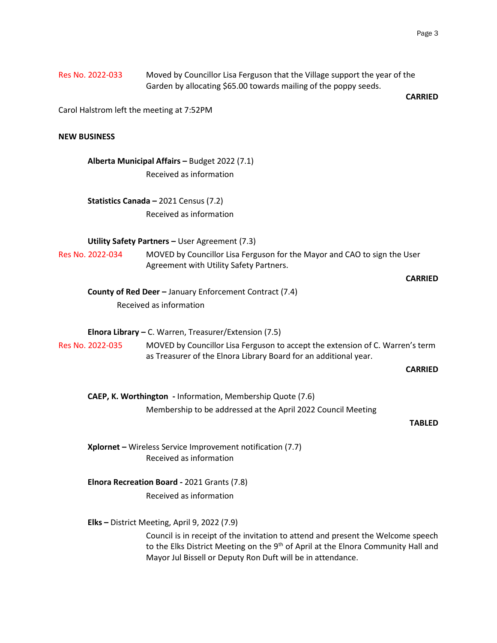|                     | Garden by allocating \$65.00 towards mailing of the poppy seeds.                                                                                                                                                                                 | <b>CARRIED</b> |
|---------------------|--------------------------------------------------------------------------------------------------------------------------------------------------------------------------------------------------------------------------------------------------|----------------|
|                     | Carol Halstrom left the meeting at 7:52PM                                                                                                                                                                                                        |                |
| <b>NEW BUSINESS</b> |                                                                                                                                                                                                                                                  |                |
|                     | Alberta Municipal Affairs - Budget 2022 (7.1)                                                                                                                                                                                                    |                |
|                     | Received as information                                                                                                                                                                                                                          |                |
|                     | Statistics Canada - 2021 Census (7.2)                                                                                                                                                                                                            |                |
|                     | Received as information                                                                                                                                                                                                                          |                |
|                     | Utility Safety Partners - User Agreement (7.3)                                                                                                                                                                                                   |                |
| Res No. 2022-034    | MOVED by Councillor Lisa Ferguson for the Mayor and CAO to sign the User<br>Agreement with Utility Safety Partners.                                                                                                                              |                |
|                     |                                                                                                                                                                                                                                                  | <b>CARRIED</b> |
|                     | <b>County of Red Deer - January Enforcement Contract (7.4)</b>                                                                                                                                                                                   |                |
|                     | Received as information                                                                                                                                                                                                                          |                |
|                     | <b>Elnora Library – C.</b> Warren, Treasurer/Extension $(7.5)$                                                                                                                                                                                   |                |
| Res No. 2022-035    | MOVED by Councillor Lisa Ferguson to accept the extension of C. Warren's term<br>as Treasurer of the Elnora Library Board for an additional year.                                                                                                |                |
|                     |                                                                                                                                                                                                                                                  | <b>CARRIED</b> |
|                     | CAEP, K. Worthington - Information, Membership Quote (7.6)                                                                                                                                                                                       |                |
|                     | Membership to be addressed at the April 2022 Council Meeting                                                                                                                                                                                     |                |
|                     |                                                                                                                                                                                                                                                  | <b>TABLED</b>  |
|                     | Xplornet - Wireless Service Improvement notification (7.7)<br>Received as information                                                                                                                                                            |                |
|                     | Elnora Recreation Board - 2021 Grants (7.8)                                                                                                                                                                                                      |                |
|                     | Received as information                                                                                                                                                                                                                          |                |
|                     | Elks - District Meeting, April 9, 2022 (7.9)                                                                                                                                                                                                     |                |
|                     | Council is in receipt of the invitation to attend and present the Welcome speech<br>to the Elks District Meeting on the 9 <sup>th</sup> of April at the Elnora Community Hall and<br>Mayor Jul Bissell or Deputy Ron Duft will be in attendance. |                |

Res No. 2022-033 Moved by Councillor Lisa Ferguson that the Village support the year of the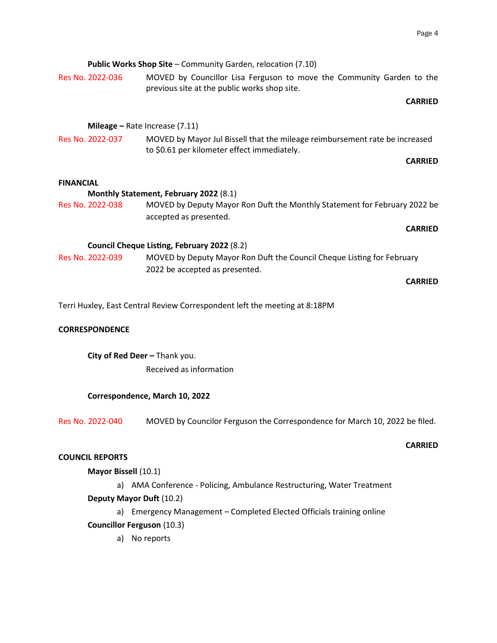|                        | Public Works Shop Site - Community Garden, relocation (7.10)                                                               |
|------------------------|----------------------------------------------------------------------------------------------------------------------------|
| Res No. 2022-036       | MOVED by Councillor Lisa Ferguson to move the Community Garden to the<br>previous site at the public works shop site.      |
|                        | <b>CARRIED</b>                                                                                                             |
|                        |                                                                                                                            |
|                        | <b>Mileage</b> – Rate Increase $(7.11)$                                                                                    |
| Res No. 2022-037       | MOVED by Mayor Jul Bissell that the mileage reimbursement rate be increased<br>to \$0.61 per kilometer effect immediately. |
|                        | <b>CARRIED</b>                                                                                                             |
| <b>FINANCIAL</b>       |                                                                                                                            |
|                        | Monthly Statement, February 2022 (8.1)                                                                                     |
| Res No. 2022-038       | MOVED by Deputy Mayor Ron Duft the Monthly Statement for February 2022 be<br>accepted as presented.                        |
|                        | <b>CARRIED</b>                                                                                                             |
|                        | Council Cheque Listing, February 2022 (8.2)                                                                                |
| Res No. 2022-039       | MOVED by Deputy Mayor Ron Duft the Council Cheque Listing for February<br>2022 be accepted as presented.                   |
|                        | <b>CARRIED</b>                                                                                                             |
|                        | Terri Huxley, East Central Review Correspondent left the meeting at 8:18PM                                                 |
|                        |                                                                                                                            |
| <b>CORRESPONDENCE</b>  |                                                                                                                            |
|                        | City of Red Deer - Thank you.                                                                                              |
|                        | Received as information                                                                                                    |
|                        | Correspondence, March 10, 2022                                                                                             |
| Res No. 2022-040       | MOVED by Councilor Ferguson the Correspondence for March 10, 2022 be filed.                                                |
|                        | <b>CARRIED</b>                                                                                                             |
| <b>COUNCIL REPORTS</b> |                                                                                                                            |
| Mayor Bissell (10.1)   |                                                                                                                            |
|                        | a) AMA Conference - Policing, Ambulance Restructuring, Water Treatment                                                     |
|                        | Deputy Mayor Duft (10.2)                                                                                                   |
|                        | a) Emergency Management - Completed Elected Officials training online<br><b>Councillor Ferguson (10.3)</b>                 |

a) No reports